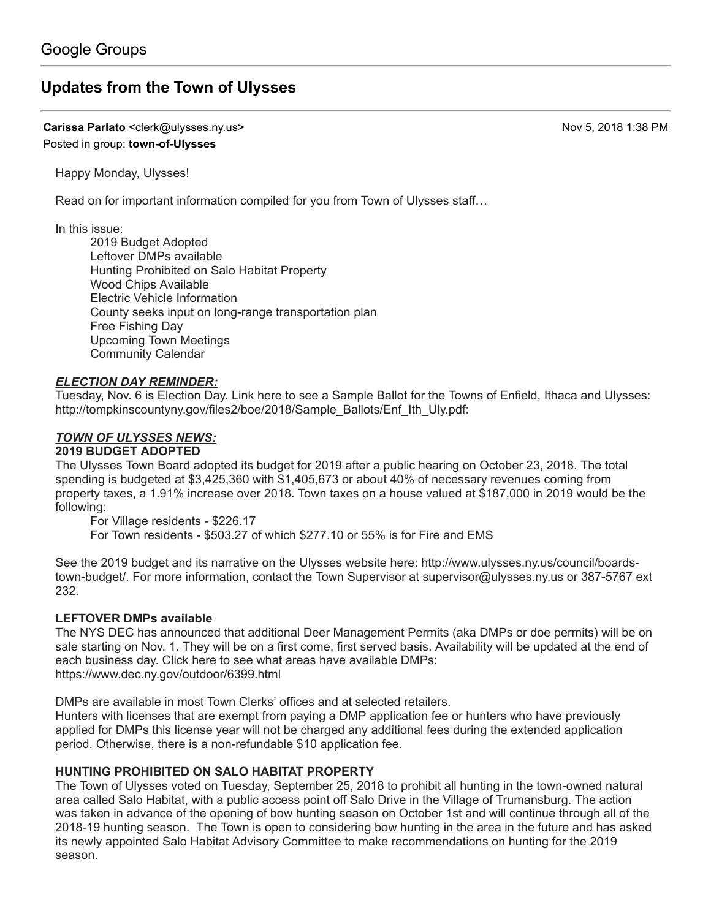# **[Updates from the Town of Ulysses](https://groups.google.com/d/topic/town-of-ulysses/V-7XSgw2ilo)**

**Carissa Parlato** <clerk@ulysses.ny.us> Nov 5, 2018 1:38 PM Posted in group: **[town-of-Ulysses](https://groups.google.com/d/forum/town-of-ulysses)**

Happy Monday, Ulysses!

Read on for important information compiled for you from Town of Ulysses staff…

In this issue:

2019 Budget Adopted Leftover DMPs available Hunting Prohibited on Salo Habitat Property Wood Chips Available Electric Vehicle Information County seeks input on long-range transportation plan Free Fishing Day Upcoming Town Meetings Community Calendar

## *ELECTION DAY REMINDER:*

Tuesday, Nov. 6 is Election Day. Link here to see a Sample Ballot for the Towns of Enfield, Ithaca and Ulysses: [http://tompkinscountyny.gov/files2/boe/2018/Sample\\_Ballots/Enf\\_Ith\\_Uly.pdf:](http://tompkinscountyny.gov/files2/boe/2018/Sample_Ballots/Enf_Ith_Uly.pdf:)

## *TOWN OF ULYSSES NEWS:*

## **2019 BUDGET ADOPTED**

The Ulysses Town Board adopted its budget for 2019 after a public hearing on October 23, 2018. The total spending is budgeted at \$3,425,360 with \$1,405,673 or about 40% of necessary revenues coming from property taxes, a 1.91% increase over 2018. Town taxes on a house valued at \$187,000 in 2019 would be the following:

For Village residents - \$226.17 For Town residents - \$503.27 of which \$277.10 or 55% is for Fire and EMS

See the 2019 budget and its narrative on the Ulysses website here: http://www.ulysses.ny.us/council/boards[town-budget/. For more information, contact the Town Supervisor at supervisor@ulysses.ny.us or 387-5767 e](http://www.ulysses.ny.us/council/boards-town-budget/)xt 232.

## **LEFTOVER DMPs available**

The NYS DEC has announced that additional Deer Management Permits (aka DMPs or doe permits) will be on sale starting on Nov. 1. They will be on a first come, first served basis. Availability will be updated at the end of each business day. Click here to see what areas have available DMPs: <https://www.dec.ny.gov/outdoor/6399.html>

DMPs are available in most Town Clerks' offices and at selected retailers.

Hunters with licenses that are exempt from paying a DMP application fee or hunters who have previously applied for DMPs this license year will not be charged any additional fees during the extended application period. Otherwise, there is a non-refundable \$10 application fee.

## **HUNTING PROHIBITED ON SALO HABITAT PROPERTY**

The Town of Ulysses voted on Tuesday, September 25, 2018 to prohibit all hunting in the town-owned natural area called Salo Habitat, with a public access point off Salo Drive in the Village of Trumansburg. The action was taken in advance of the opening of bow hunting season on October 1st and will continue through all of the 2018-19 hunting season. The Town is open to considering bow hunting in the area in the future and has asked its newly appointed Salo Habitat Advisory Committee to make recommendations on hunting for the 2019 season.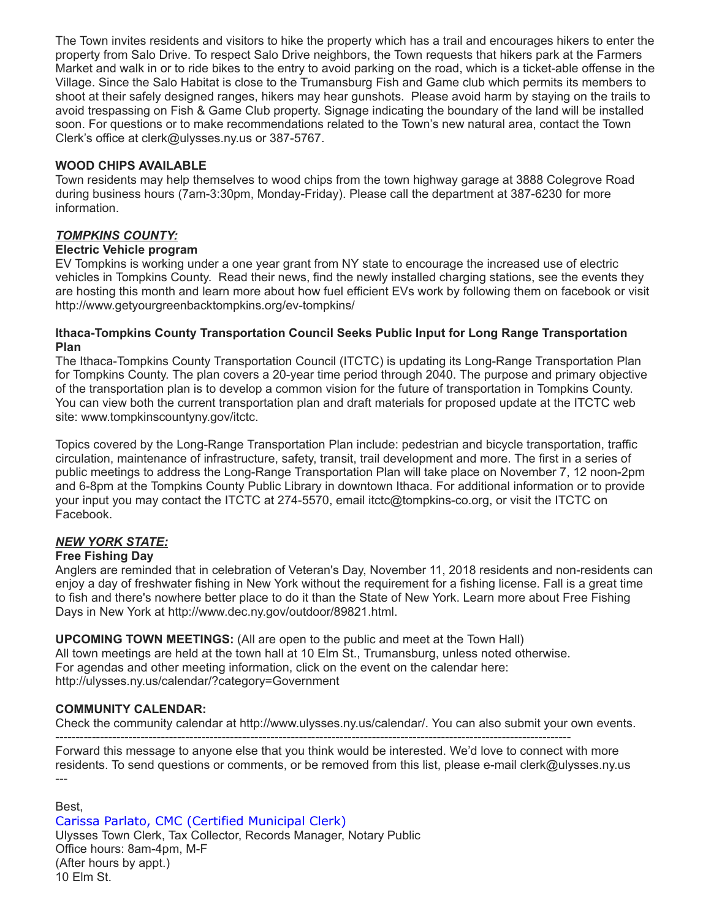The Town invites residents and visitors to hike the property which has a trail and encourages hikers to enter the property from Salo Drive. To respect Salo Drive neighbors, the Town requests that hikers park at the Farmers Market and walk in or to ride bikes to the entry to avoid parking on the road, which is a ticket-able offense in the Village. Since the Salo Habitat is close to the Trumansburg Fish and Game club which permits its members to shoot at their safely designed ranges, hikers may hear gunshots. Please avoid harm by staying on the trails to avoid trespassing on Fish & Game Club property. Signage indicating the boundary of the land will be installed soon. For questions or to make recommendations related to the Town's new natural area, contact the Town Clerk's office at [clerk@ulysses.ny.us](mailto:clerk@ulysses.ny.us) or 387-5767.

## **WOOD CHIPS AVAILABLE**

Town residents may help themselves to wood chips from the town highway garage at 3888 Colegrove Road during business hours (7am-3:30pm, Monday-Friday). Please call the department at 387-6230 for more information.

## *TOMPKINS COUNTY:*

## **Electric Vehicle program**

EV Tompkins is working under a one year grant from NY state to encourage the increased use of electric vehicles in Tompkins County. Read their news, find the newly installed charging stations, see the events they are hosting this month and learn more about how fuel efficient EVs work by following them on facebook or visit <http://www.getyourgreenbacktompkins.org/ev-tompkins/>

#### **Ithaca-Tompkins County Transportation Council Seeks Public Input for Long Range Transportation Plan**

The Ithaca-Tompkins County Transportation Council (ITCTC) is updating its Long-Range Transportation Plan for Tompkins County. The plan covers a 20-year time period through 2040. The purpose and primary objective of the transportation plan is to develop a common vision for the future of transportation in Tompkins County. You can view both the current transportation plan and draft materials for proposed update at the ITCTC web site: [www.tompkinscountyny.gov/itctc.](http://www.tompkinscountyny.gov/itctc.)

Topics covered by the Long-Range Transportation Plan include: pedestrian and bicycle transportation, traffic circulation, maintenance of infrastructure, safety, transit, trail development and more. The first in a series of public meetings to address the Long-Range Transportation Plan will take place on November 7, 12 noon-2pm and 6-8pm at the Tompkins County Public Library in downtown Ithaca. For additional information or to provide your input you may contact the ITCTC at 274-5570, email [itctc@tompkins-co.org](mailto:itctc@tompkins-co.org), or visit the ITCTC on Facebook.

## *NEW YORK STATE:*

## **Free Fishing Day**

Anglers are reminded that in celebration of Veteran's Day, November 11, 2018 residents and non-residents can enjoy a day of freshwater fishing in New York without the requirement for a fishing license. Fall is a great time to fish and there's nowhere better place to do it than the State of New York. Learn more about Free Fishing Days in New York at<http://www.dec.ny.gov/outdoor/89821.html.>

**UPCOMING TOWN MEETINGS:** (All are open to the public and meet at the Town Hall) All town meetings are held at the town hall at 10 Elm St., Trumansburg, unless noted otherwise. For agendas and other meeting information, click on the event on the calendar here: <http://ulysses.ny.us/calendar/?category=Government>

## **COMMUNITY CALENDAR:**

Check the community calendar at [http://www.ulysses.ny.us/calendar/.](http://www.ulysses.ny.us/calendar/) You can also submit your own events.

------------------------------------------------------------------------------------------------------------------------------- Forward this message to anyone else that you think would be interested. We'd love to connect with more residents. To send questions or comments, or be removed from this list, please e-mail [clerk@ulysses.ny.us](mailto:clerk@ulysses.ny.us) ---

Best,

Carissa Parlato, CMC (Certified Municipal Clerk) Ulysses Town Clerk, Tax Collector, Records Manager, Notary Public Office hours: 8am-4pm, M-F (After hours by appt.) 10 Elm St.